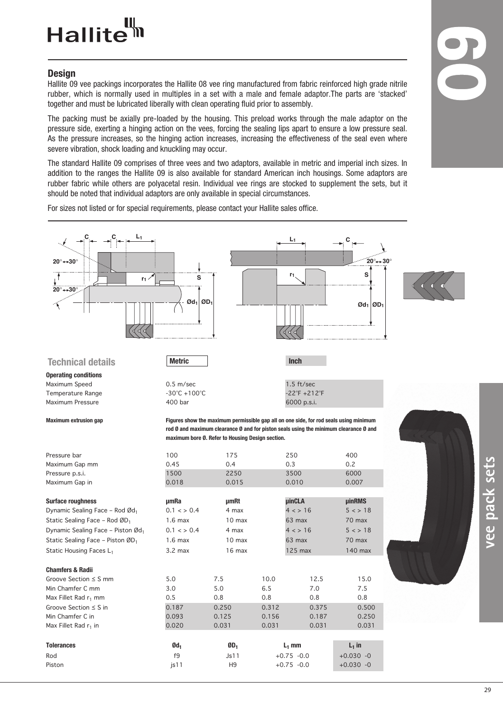### Hallite<sup>tt</sup>

#### **Design**

Hallite 09 vee packings incorporates the Hallite 08 vee ring manufactured from fabric reinforced high grade nitrile rubber, which is normally used in multiples in a set with a male and female adaptor.The parts are 'stacked' together and must be lubricated liberally with clean operating fluid prior to assembly.

The packing must be axially pre-loaded by the housing. This preload works through the male adaptor on the pressure side, exerting a hinging action on the vees, forcing the sealing lips apart to ensure a low pressure seal. As the pressure increases, so the hinging action increases, increasing the effectiveness of the seal even where severe vibration, shock loading and knuckling may occur.

The standard Hallite 09 comprises of three vees and two adaptors, available in metric and imperial inch sizes. In addition to the ranges the Hallite 09 is also available for standard American inch housings. Some adaptors are rubber fabric while others are polyacetal resin. Individual vee rings are stocked to supplement the sets, but it should be noted that individual adaptors are only available in special circumstances.

For sizes not listed or for special requirements, please contact your Hallite sales office.

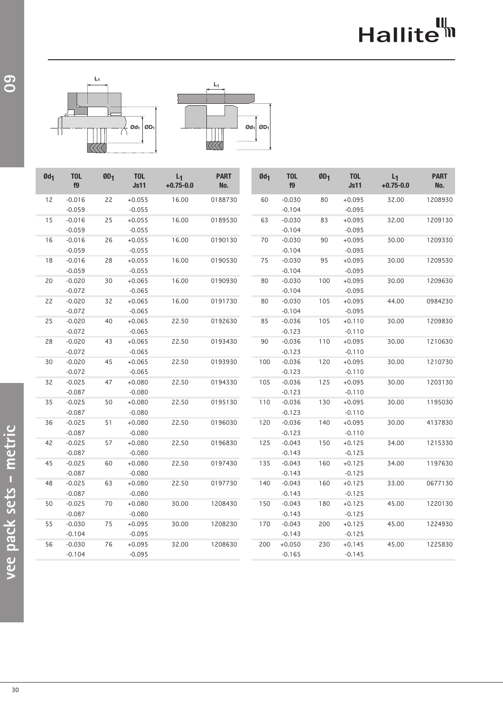# Hallite<sup>th</sup>





| $Qd_1$ | <b>TOL</b><br>f9 | ØD <sub>1</sub> | <b>TOL</b><br><b>Js11</b> | $L_1$<br>$+0.75 - 0.0$ | <b>PART</b><br>No. | $Qd_1$ | <b>TOL</b><br>f9 | ØD <sub>1</sub> | <b>TOL</b><br><b>Js11</b> | $L_1$<br>$+0.75 - 0.0$ | <b>PART</b><br>No. |
|--------|------------------|-----------------|---------------------------|------------------------|--------------------|--------|------------------|-----------------|---------------------------|------------------------|--------------------|
| 12     | $-0.016$         | 22              | $+0.055$                  | 16.00                  | 0188730            | 60     | $-0.030$         | 80              | $+0.095$                  | 32.00                  | 1208930            |
|        | $-0.059$         |                 | $-0.055$                  |                        |                    |        | $-0.104$         |                 | $-0.095$                  |                        |                    |
| 15     | $-0.016$         | 25              | $+0.055$                  | 16.00                  | 0189530            | 63     | $-0.030$         | 83              | $+0.095$                  | 32.00                  | 1209130            |
|        | $-0.059$         |                 | $-0.055$                  |                        |                    |        | $-0.104$         |                 | $-0.095$                  |                        |                    |
| 16     | $-0.016$         | 26              | $+0.055$                  | 16.00                  | 0190130            | 70     | $-0.030$         | 90              | $+0.095$                  | 30.00                  | 1209330            |
|        | $-0.059$         |                 | $-0.055$                  |                        |                    |        | $-0.104$         |                 | $-0.095$                  |                        |                    |
| 18     | $-0.016$         | 28              | $+0.055$                  | 16.00                  | 0190530            | 75     | $-0.030$         | 95              | $+0.095$                  | 30.00                  | 1209530            |
|        | $-0.059$         |                 | $-0.055$                  |                        |                    |        | $-0.104$         |                 | $-0.095$                  |                        |                    |
| 20     | $-0.020$         | 30              | $+0.065$                  | 16.00                  | 0190930            | 80     | $-0.030$         | 100             | $+0.095$                  | 30.00                  | 1209630            |
|        | $-0.072$         |                 | $-0.065$                  |                        |                    |        | $-0.104$         |                 | $-0.095$                  |                        |                    |
| 22     | $-0.020$         | 32              | $+0.065$                  | 16.00                  | 0191730            | 80     | $-0.030$         | 105             | $+0.095$                  | 44.00                  | 0984230            |
|        | $-0.072$         |                 | $-0.065$                  |                        |                    |        | $-0.104$         |                 | $-0.095$                  |                        |                    |
| 25     | $-0.020$         | 40              | $+0.065$                  | 22.50                  | 0192630            | 85     | $-0.036$         | 105             | $+0.110$                  | 30.00                  | 1209830            |
|        | $-0.072$         |                 | $-0.065$                  |                        |                    |        | $-0.123$         |                 | $-0.110$                  |                        |                    |
| 28     | $-0.020$         | 43              | $+0.065$                  | 22.50                  | 0193430            | 90     | $-0.036$         | 110             | $+0.095$                  | 30.00                  | 1210630            |
|        | $-0.072$         |                 | $-0.065$                  |                        |                    |        | $-0.123$         |                 | $-0.110$                  |                        |                    |
| 30     | $-0.020$         | 45              | $+0.065$                  | 22.50                  | 0193930            | 100    | $-0.036$         | 120             | $+0.095$                  | 30.00                  | 1210730            |
|        | $-0.072$         |                 | $-0.065$                  |                        |                    |        | $-0.123$         |                 | $-0.110$                  |                        |                    |
| 32     | $-0.025$         | 47              | $+0.080$                  | 22.50                  | 0194330            | 105    | $-0.036$         | 125             | $+0.095$                  | 30.00                  | 1203130            |
|        | $-0.087$         |                 | $-0.080$                  |                        |                    |        | $-0.123$         |                 | $-0.110$                  |                        |                    |
| 35     | $-0.025$         | 50              | $+0.080$                  | 22.50                  | 0195130            | 110    | $-0.036$         | 130             | $+0.095$                  | 30.00                  | 1195030            |
|        | $-0.087$         |                 | $-0.080$                  |                        |                    |        | $-0.123$         |                 | $-0.110$                  |                        |                    |
| 36     | $-0.025$         | 51              | $+0.080$                  | 22.50                  | 0196030            | 120    | $-0.036$         | 140             | $+0.095$                  | 30.00                  | 4137830            |
|        | $-0.087$         |                 | $-0.080$                  |                        |                    |        | $-0.123$         |                 | $-0.110$                  |                        |                    |
| 42     | $-0.025$         | 57              | $+0.080$                  | 22.50                  | 0196830            | 125    | $-0.043$         | 150             | $+0.125$                  | 34.00                  | 1215330            |
|        | $-0.087$         |                 | $-0.080$                  |                        |                    |        | $-0.143$         |                 | $-0.125$                  |                        |                    |
| 45     | $-0.025$         | 60              | $+0.080$                  | 22.50                  | 0197430            | 135    | $-0.043$         | 160             | $+0.125$                  | 34.00                  | 1197630            |
|        | $-0.087$         |                 | $-0.080$                  |                        |                    |        | $-0.143$         |                 | $-0.125$                  |                        |                    |
| 48     | $-0.025$         | 63              | $+0.080$                  | 22.50                  | 0197730            | 140    | $-0.043$         | 160             | $+0.125$                  | 33.00                  | 0677130            |
|        | $-0.087$         |                 | $-0.080$                  |                        |                    |        | $-0.143$         |                 | $-0.125$                  |                        |                    |
| 50     | $-0.025$         | 70              | $+0.080$                  | 30.00                  | 1208430            | 150    | $-0.043$         | 180             | $+0.125$                  | 45.00                  | 1220130            |
|        | $-0.087$         |                 | $-0.080$                  |                        |                    |        | $-0.143$         |                 | $-0.125$                  |                        |                    |
| 55     | $-0.030$         | 75              | $+0.095$                  | 30.00                  | 1208230            | 170    | $-0.043$         | 200             | $+0.125$                  | 45.00                  | 1224930            |
|        | $-0.104$         |                 | $-0.095$                  |                        |                    |        | $-0.143$         |                 | $-0.125$                  |                        |                    |
| 56     | $-0.030$         | 76              | $+0.095$                  | 32.00                  | 1208630            | 200    | $+0.050$         | 230             | $+0.145$                  | 45.00                  | 1225830            |
|        | $-0.104$         |                 | $-0.095$                  |                        |                    |        | $-0.165$         |                 | $-0.145$                  |                        |                    |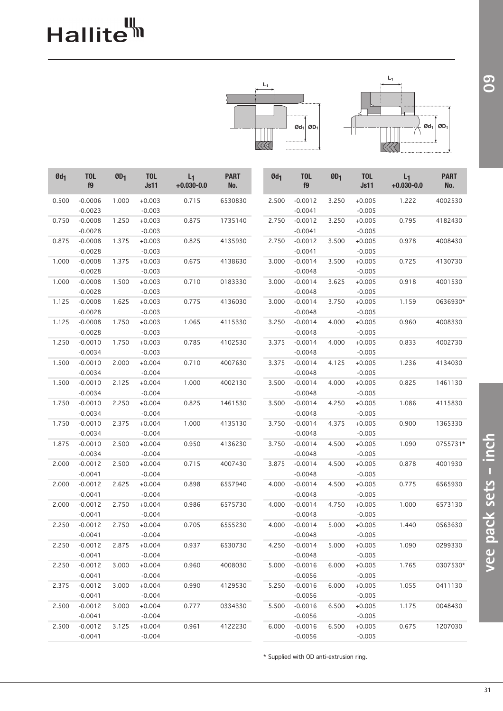# Hallite<sup>th</sup>



| $Qd_1$ | <b>TOL</b><br>f9       | ØD <sub>1</sub> | <b>TOL</b><br><b>Js11</b> | $L_1$<br>$+0.030 - 0.0$ | <b>PART</b><br>No. | $Qd_1$ | <b>TOL</b><br>f9       | ØD <sub>1</sub> | <b>TOL</b><br><b>Js11</b> | $L_1$<br>$+0.030 - 0.0$ | <b>PART</b><br>No. |
|--------|------------------------|-----------------|---------------------------|-------------------------|--------------------|--------|------------------------|-----------------|---------------------------|-------------------------|--------------------|
| 0.500  | $-0.0006$<br>$-0.0023$ | 1.000           | $+0.003$<br>$-0.003$      | 0.715                   | 6530830            | 2.500  | $-0.0012$<br>$-0.0041$ | 3.250           | $+0.005$<br>$-0.005$      | 1.222                   | 4002530            |
| 0.750  | $-0.0008$              | 1.250           | $+0.003$                  | 0.875                   | 1735140            | 2.750  | $-0.0012$              | 3.250           | $+0.005$                  | 0.795                   | 4182430            |
|        | $-0.0028$              |                 | $-0.003$                  |                         |                    |        | $-0.0041$              |                 | $-0.005$                  |                         |                    |
| 0.875  | $-0.0008$              | 1.375           | $+0.003$                  | 0.825                   | 4135930            | 2.750  | $-0.0012$              | 3.500           | $+0.005$                  | 0.978                   | 4008430            |
|        | $-0.0028$              |                 | $-0.003$                  |                         |                    |        | $-0.0041$              |                 | $-0.005$                  |                         |                    |
| 1.000  | $-0.0008$              | 1.375           | $+0.003$                  | 0.675                   | 4138630            | 3.000  | $-0.0014$              | 3.500           | $+0.005$                  | 0.725                   | 4130730            |
|        | $-0.0028$              |                 | $-0.003$                  |                         |                    |        | $-0.0048$              |                 | $-0.005$                  |                         |                    |
| 1.000  | $-0.0008$              | 1.500           | $+0.003$                  | 0.710                   | 0183330            | 3.000  | $-0.0014$              | 3.625           | $+0.005$                  | 0.918                   | 4001530            |
|        | $-0.0028$              |                 | $-0.003$                  |                         |                    |        | $-0.0048$              |                 | $-0.005$                  |                         |                    |
| 1.125  | $-0.0008$              | 1.625           | $+0.003$                  | 0.775                   | 4136030            | 3.000  | $-0.0014$              | 3.750           | $+0.005$                  | 1.159                   | 0636930*           |
|        | $-0.0028$              |                 | $-0.003$                  |                         |                    |        | $-0.0048$              |                 | $-0.005$                  |                         |                    |
| 1.125  | $-0.0008$              | 1.750           | $+0.003$                  | 1.065                   | 4115330            | 3.250  | $-0.0014$              | 4.000           | $+0.005$                  | 0.960                   | 4008330            |
|        | $-0.0028$              |                 | $-0.003$                  |                         |                    |        | $-0.0048$              |                 | $-0.005$                  |                         |                    |
| 1.250  | $-0.0010$              | 1.750           | $+0.003$                  | 0.785                   | 4102530            | 3.375  | $-0.0014$              | 4.000           | $+0.005$                  | 0.833                   | 4002730            |
|        | $-0.0034$              |                 | $-0.003$                  |                         |                    |        | $-0.0048$              |                 | $-0.005$                  |                         |                    |
| 1.500  | $-0.0010$              | 2.000           | $+0.004$                  | 0.710                   | 4007630            | 3.375  | $-0.0014$              | 4.125           | $+0.005$                  | 1.236                   | 4134030            |
|        | $-0.0034$              |                 | $-0.004$                  |                         |                    |        | $-0.0048$              |                 | $-0.005$                  |                         |                    |
| 1.500  | $-0.0010$              | 2.125           | $+0.004$                  | 1.000                   | 4002130            | 3.500  | $-0.0014$              | 4.000           | $+0.005$                  | 0.825                   | 1461130            |
|        | $-0.0034$              |                 | $-0.004$                  |                         |                    |        | $-0.0048$              |                 | $-0.005$                  |                         |                    |
| 1.750  | $-0.0010$              | 2.250           | $+0.004$                  | 0.825                   | 1461530            | 3.500  | $-0.0014$              | 4.250           | $+0.005$                  | 1.086                   | 4115830            |
|        | $-0.0034$              |                 | $-0.004$                  |                         |                    |        | $-0.0048$              |                 | $-0.005$                  |                         |                    |
| 1.750  | $-0.0010$              | 2.375           | $+0.004$                  | 1.000                   | 4135130            | 3.750  | $-0.0014$              | 4.375           | $+0.005$                  | 0.900                   | 1365330            |
|        | $-0.0034$              |                 | $-0.004$                  |                         |                    |        | $-0.0048$              |                 | $-0.005$                  |                         |                    |
| 1.875  | $-0.0010$              | 2.500           | $+0.004$                  | 0.950                   | 4136230            | 3.750  | $-0.0014$              | 4.500           | $+0.005$                  | 1.090                   | 0755731*           |
|        | $-0.0034$              |                 | $-0.004$                  |                         |                    |        | $-0.0048$              |                 | $-0.005$                  |                         |                    |
| 2.000  | $-0.0012$              | 2.500           | $+0.004$                  | 0.715                   | 4007430            | 3.875  | $-0.0014$              | 4.500           | $+0.005$                  | 0.878                   | 4001930            |
|        | $-0.0041$              |                 | $-0.004$                  |                         |                    |        | $-0.0048$              |                 | $-0.005$                  |                         |                    |
| 2.000  | $-0.0012$              | 2.625           | $+0.004$                  | 0.898                   | 6557940            | 4.000  | $-0.0014$              | 4.500           | $+0.005$                  | 0.775                   | 6565930            |
|        | $-0.0041$              |                 | $-0.004$                  |                         |                    |        | $-0.0048$              |                 | $-0.005$                  |                         |                    |
| 2.000  | $-0.0012$              | 2.750           | $+0.004$                  | 0.986                   | 6575730            | 4.000  | $-0.0014$              | 4.750           | $+0.005$                  | 1.000                   | 6573130            |
|        | $-0.0041$              |                 | $-0.004$                  |                         |                    |        | $-0.0048$              |                 | $-0.005$                  |                         |                    |
| 2.250  | $-0.0012$              | 2.750           | $+0.004$                  | 0.705                   | 6555230            | 4.000  | $-0.0014$              | 5.000           | $+0.005$                  | 1.440                   | 0563630            |
|        | $-0.0041$              |                 | $-0.004$                  |                         |                    |        | $-0.0048$              |                 | $-0.005$                  |                         |                    |
| 2.250  | $-0.0012$              | 2.875           | $+0.004$                  | 0.937                   | 6530730            | 4.250  | $-0.0014$              | 5.000           | $+0.005$                  | 1.090                   | 0299330            |
|        | $-0.0041$              |                 | $-0.004$                  |                         |                    |        | $-0.0048$              |                 | $-0.005$                  |                         |                    |
| 2.250  | $-0.0012$              | 3.000           | $+0.004$                  | 0.960                   | 4008030            | 5.000  | $-0.0016$              | 6.000           | $+0.005$                  | 1.765                   | 0307530*           |
|        | $-0.0041$              |                 | $-0.004$                  |                         |                    |        | $-0.0056$              |                 | $-0.005$                  |                         |                    |
| 2.375  | $-0.0012$              | 3.000           | $+0.004$                  | 0.990                   | 4129530            | 5.250  | $-0.0016$              | 6.000           | $+0.005$                  | 1.055                   | 0411130            |
|        | $-0.0041$              |                 | $-0.004$                  |                         |                    |        | $-0.0056$              |                 | $-0.005$                  |                         |                    |
| 2.500  | $-0.0012$              | 3.000           | $+0.004$                  | 0.777                   | 0334330            | 5.500  | $-0.0016$              | 6.500           | $+0.005$                  | 1.175                   | 0048430            |
|        | $-0.0041$              |                 | $-0.004$                  |                         |                    |        | $-0.0056$              |                 | $-0.005$                  |                         |                    |
| 2.500  | $-0.0012$              | 3.125           | $+0.004$                  | 0.961                   | 4122230            | 6.000  | $-0.0016$              | 6.500           | $+0.005$                  | 0.675                   | 1207030            |
|        | $-0.0041$              |                 | $-0.004$                  |                         |                    |        | $-0.0056$              |                 | $-0.005$                  |                         |                    |

\* Supplied with OD anti-extrusion ring.